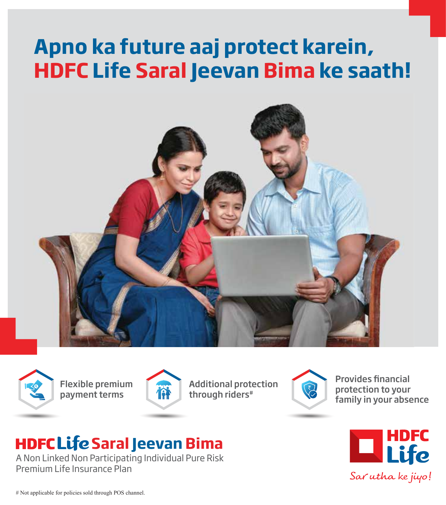# **Apno ka future aaj protect karein, HDFC Life Saral Jeevan Bima ke saath!**





Flexible premium payment terms



Additional protection through riders#



**Provides financial** protection to your family in your absence

# **HDFC Life Saral Jeevan Bima**

A Non Linked Non Participating Individual Pure Risk Premium Life Insurance Plan



# Not applicable for policies sold through POS channel.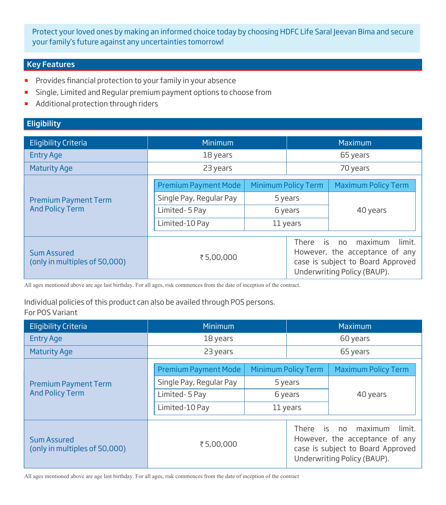Protect your loved ones by making an informed choice today by choosing HDFC Life Saral Jeevan Bima and secure your family's future against any uncertainties tomorrow!

# Key Features

- **Provides financial protection to your family in your absence**
- **Single, Limited and Regular premium payment options to choose from**
- Additional protection through riders

# **Eligibility**

| <b>Eligibility Criteria</b>                           | Minimum                     |                            |                                                                                                    | Maximum                    |
|-------------------------------------------------------|-----------------------------|----------------------------|----------------------------------------------------------------------------------------------------|----------------------------|
| <b>Entry Age</b>                                      | 18 years                    |                            | 65 years                                                                                           |                            |
| <b>Maturity Age</b>                                   | 23 years                    |                            | 70 years                                                                                           |                            |
| <b>Premium Payment Term</b><br><b>And Policy Term</b> | <b>Premium Payment Mode</b> | <b>Minimum Policy Term</b> |                                                                                                    | <b>Maximum Policy Term</b> |
|                                                       | Single Pay, Regular Pay     | 5 years                    |                                                                                                    |                            |
|                                                       | Limited-5 Pay               | 6 years                    |                                                                                                    | 40 years                   |
|                                                       | Limited-10 Pay              | 11 years                   |                                                                                                    |                            |
|                                                       |                             |                            | There is                                                                                           | maximum<br>limit.<br>no    |
| Sum Assured<br>(only in multiples of 50,000)          | ₹5,00,000                   |                            | However, the acceptance of any<br>case is subject to Board Approved<br>Underwriting Policy (BAUP). |                            |

All ages mentioned above are age last birthday. For all ages, risk commences from the date of inception of the contract.

#### For POS Variant Individual policies of this product can also be availed through POS persons.

| <b>Eligibility Criteria</b>                           | Minimum                     |                            |             | Maximum                                                                                                                 |
|-------------------------------------------------------|-----------------------------|----------------------------|-------------|-------------------------------------------------------------------------------------------------------------------------|
| <b>Entry Age</b>                                      | 18 years                    |                            | 60 years    |                                                                                                                         |
| <b>Maturity Age</b>                                   | 23 years                    |                            | 65 years    |                                                                                                                         |
| <b>Premium Payment Term</b><br><b>And Policy Term</b> | <b>Premium Payment Mode</b> | <b>Minimum Policy Term</b> |             | <b>Maximum Policy Term</b>                                                                                              |
|                                                       | Single Pay, Regular Pay     | 5 years                    |             |                                                                                                                         |
|                                                       | Limited-5 Pay               | 6 years                    |             | 40 years                                                                                                                |
|                                                       | Limited-10 Pay              | 11 years                   |             |                                                                                                                         |
| <b>Sum Assured</b><br>(only in multiples of 50,000)   | ₹5,00,000                   |                            | There is no | maximum<br>limit.<br>However, the acceptance of any<br>case is subject to Board Approved<br>Underwriting Policy (BAUP). |

All ages mentioned above are age last birthday. For all ages, risk commences from the date of inception of the contract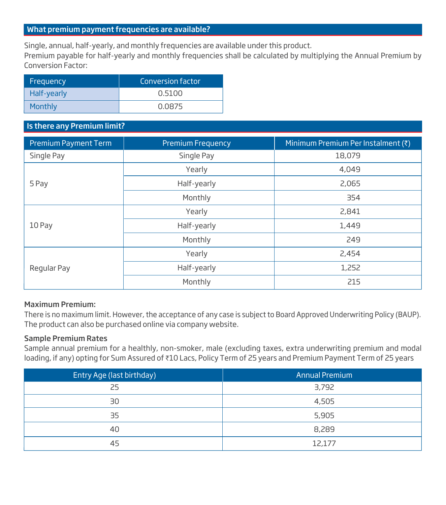# What premium payment frequencies are available?

Single, annual, half-yearly, and monthly frequencies are available under this product.

Premium payable for half-yearly and monthly frequencies shall be calculated by multiplying the Annual Premium by Conversion Factor:

| Frequency   | Conversion factor' |
|-------------|--------------------|
| Half-yearly | 0.5100             |
| Monthly     | 0.0875             |

### Is there any Premium limit?

| <b>Premium Payment Term</b> | <b>Premium Frequency</b> | Minimum Premium Per Instalment (₹) |
|-----------------------------|--------------------------|------------------------------------|
| Single Pay                  | Single Pay               | 18,079                             |
|                             | Yearly                   | 4,049                              |
| 5 Pay                       | Half-yearly              | 2,065                              |
|                             | Monthly                  | 354                                |
|                             | Yearly                   | 2,841                              |
| 10 Pay                      | Half-yearly              | 1,449                              |
|                             | Monthly                  | 249                                |
| Regular Pay                 | Yearly                   | 2,454                              |
|                             | Half-yearly              | 1,252                              |
|                             | Monthly                  | 215                                |

#### Maximum Premium:

There is no maximum limit. However, the acceptance of any case is subject to Board Approved Underwriting Policy (BAUP). The product can also be purchased online via company website.

# Sample Premium Rates

Sample annual premium for a healthly, non-smoker, male (excluding taxes, extra underwriting premium and modal loading, if any) opting for Sum Assured of ₹10 Lacs, Policy Term of 25 years and Premium Payment Term of 25 years

| Entry Age (last birthday) | Annual Premium |
|---------------------------|----------------|
| 25                        | 3,792          |
| 30                        | 4,505          |
| 35                        | 5,905          |
| 40                        | 8,289          |
| 45                        | 12,177         |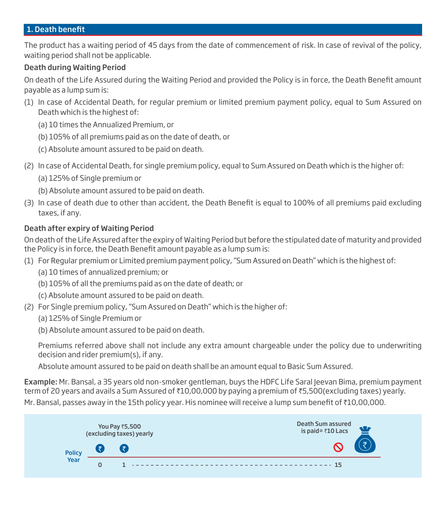#### 1. Death benefit

The product has a waiting period of 45 days from the date of commencement of risk. In case of revival of the policy, waiting period shall not be applicable.

#### Death during Waiting Period

On death of the Life Assured during the Waiting Period and provided the Policy is in force, the Death Benefit amount payable as a lump sum is:

- (1) In case of Accidental Death, for regular premium or limited premium payment policy, equal to Sum Assured on Death which is the highest of:
	- (a) 10 times the Annualized Premium, or
	- (b) 105% of all premiums paid as on the date of death, or
	- (c) Absolute amount assured to be paid on death.
- (2) In case of Accidental Death, for single premium policy, equal to Sum Assured on Death which is the higher of:
	- (a) 125% of Single premium or
	- (b) Absolute amount assured to be paid on death.
- (3) In case of death due to other than accident, the Death Benefit is equal to 100% of all premiums paid excluding taxes, if any.

# Death after expiry of Waiting Period

On death of the Life Assured after the expiry of Waiting Period but before the stipulated date of maturity and provided the Policy is in force, the Death Benefit amount payable as a lump sum is:

- (1) For Regular premium or Limited premium payment policy, "Sum Assured on Death" which is the highest of:
	- (a) 10 times of annualized premium; or
	- (b) 105% of all the premiums paid as on the date of death; or
	- (c) Absolute amount assured to be paid on death.
- (2) For Single premium policy, "Sum Assured on Death" which is the higher of:
	- (a) 125% of Single Premium or
	- (b) Absolute amount assured to be paid on death.

 Premiums referred above shall not include any extra amount chargeable under the policy due to underwriting decision and rider premium(s), if any.

Absolute amount assured to be paid on death shall be an amount equal to Basic Sum Assured.

Example: Mr. Bansal, a 35 years old non-smoker gentleman, buys the HDFC Life Saral Jeevan Bima, premium payment term of 20 years and avails a Sum Assured of ₹10,00,000 by paying a premium of ₹5,500(excluding taxes) yearly.

Mr. Bansal, passes away in the 15th policy year. His nominee will receive a lump sum benefit of  $\bar{\tau}10,00,000$ .

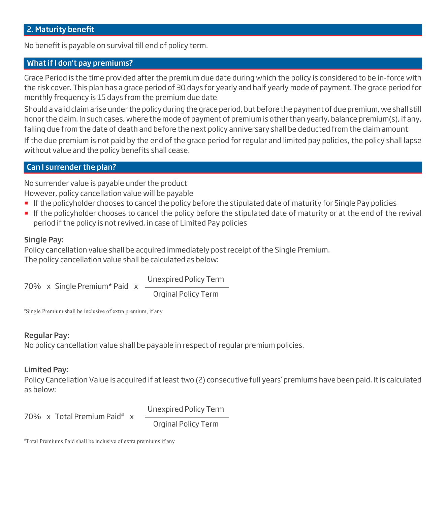No benefit is payable on survival till end of policy term.

# What if I don't pay premiums?

Grace Period is the time provided after the premium due date during which the policy is considered to be in-force with the risk cover. This plan has a grace period of 30 days for yearly and half yearly mode of payment. The grace period for monthly frequency is 15 days from the premium due date.

Should a valid claim arise under the policy during the grace period, but before the payment of due premium, we shall still honor the claim. In such cases, where the mode of payment of premium is other than yearly, balance premium(s), if any, falling due from the date of death and before the next policy anniversary shall be deducted from the claim amount. If the due premium is not paid by the end of the grace period for regular and limited pay policies, the policy shall lapse without value and the policy benefits shall cease.

### Can I surrender the plan?

No surrender value is payable under the product. However, policy cancellation value will be payable

- If the policyholder chooses to cancel the policy before the stipulated date of maturity for Single Pay policies
- If the policyholder chooses to cancel the policy before the stipulated date of maturity or at the end of the revival period if the policy is not revived, in case of Limited Pay policies

#### Single Pay:

Policy cancellation value shall be acquired immediately post receipt of the Single Premium. The policy cancellation value shall be calculated as below:

70% x Single Premium\* Paid x Unexpired Policy Term

Orginal Policy Term

# Single Premium shall be inclusive of extra premium, if any

#### Regular Pay:

No policy cancellation value shall be payable in respect of regular premium policies.

#### Limited Pay:

Policy Cancellation Value is acquired if at least two (2) consecutive full years' premiums have been paid. It is calculated as below:

70% x Total Premium Paid# x

Unexpired Policy Term Orginal Policy Term

# Total Premiums Paid shall be inclusive of extra premiums if any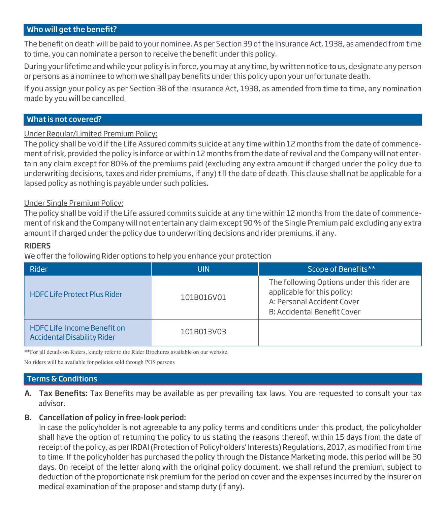# Who will get the benefit?

The benefit on death will be paid to your nominee. As per Section 39 of the Insurance Act, 1938, as amended from time to time, you can nominate a person to receive the benefit under this policy.

During your lifetime and while your policy is in force, you may at any time, by written notice to us, designate any person or persons as a nominee to whom we shall pay benefits under this policy upon your unfortunate death.

If you assign your policy as per Section 38 of the Insurance Act, 1938, as amended from time to time, any nomination made by you will be cancelled.

#### What is not covered?

Under Regular/Limited Premium Policy:

The policy shall be void if the Life Assured commits suicide at any time within 12 months from the date of commencement of risk, provided the policy is inforce or within 12 months from the date of revival and the Company will not entertain any claim except for 80% of the premiums paid (excluding any extra amount if charged under the policy due to underwriting decisions, taxes and rider premiums, if any) till the date of death. This clause shall not be applicable for a lapsed policy as nothing is payable under such policies.

#### Under Single Premium Policy:

The policy shall be void if the Life assured commits suicide at any time within 12 months from the date of commencement of risk and the Company will not entertain any claim except 90 % of the Single Premium paid excluding any extra amount if charged under the policy due to underwriting decisions and rider premiums, if any.

#### RIDERS

We offer the following Rider options to help you enhance your protection

| Rider                                                                    | <b>UIN</b> | Scope of Benefits**                                                                                                                    |
|--------------------------------------------------------------------------|------------|----------------------------------------------------------------------------------------------------------------------------------------|
| <b>HDFC Life Protect Plus Rider</b>                                      | 101B016V01 | The following Options under this rider are<br>applicable for this policy:<br>A: Personal Accident Cover<br>B: Accidental Benefit Cover |
| <b>HDFC Life Income Benefit on</b><br><b>Accidental Disability Rider</b> | 101B013V03 |                                                                                                                                        |

\*\*For all details on Riders, kindly refer to the Rider Brochures available on our website.

No riders will be available for policies sold through POS persons

### Terms & Conditions

A. Tax Benefits: Tax Benefits may be available as per prevailing tax laws. You are requested to consult your tax advisor.

#### B. Cancellation of policy in free-look period:

 In case the policyholder is not agreeable to any policy terms and conditions under this product, the policyholder shall have the option of returning the policy to us stating the reasons thereof, within 15 days from the date of receipt of the policy, as per IRDAI (Protection of Policyholders' Interests) Regulations, 2017, as modified from time to time. If the policyholder has purchased the policy through the Distance Marketing mode, this period will be 30 days. On receipt of the letter along with the original policy document, we shall refund the premium, subject to deduction of the proportionate risk premium for the period on cover and the expenses incurred by the insurer on medical examination of the proposer and stamp duty (if any).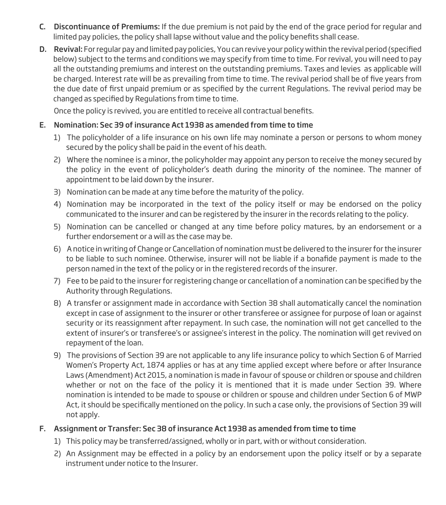- C. Discontinuance of Premiums: If the due premium is not paid by the end of the grace period for regular and limited pay policies, the policy shall lapse without value and the policy benefits shall cease.
- D. Revival: For regular pay and limited pay policies, You can revive your policy within the revival period (specified below) subject to the terms and conditions we may specify from time to time. For revival, you will need to pay all the outstanding premiums and interest on the outstanding premiums. Taxes and levies as applicable will be charged. Interest rate will be as prevailing from time to time. The revival period shall be of five years from the due date of first unpaid premium or as specified by the current Regulations. The revival period may be changed as specified by Regulations from time to time.

Once the policy is revived, you are entitled to receive all contractual benefits.

# E. Nomination: Sec 39 of insurance Act 1938 as amended from time to time

- 1) The policyholder of a life insurance on his own life may nominate a person or persons to whom money secured by the policy shall be paid in the event of his death.
- 2) Where the nominee is a minor, the policyholder may appoint any person to receive the money secured by the policy in the event of policyholder's death during the minority of the nominee. The manner of appointment to be laid down by the insurer.
- 3) Nomination can be made at any time before the maturity of the policy.
- 4) Nomination may be incorporated in the text of the policy itself or may be endorsed on the policy communicated to the insurer and can be registered by the insurer in the records relating to the policy.
- 5) Nomination can be cancelled or changed at any time before policy matures, by an endorsement or a further endorsement or a will as the case may be.
- 6) A notice in writing of Change or Cancellation of nomination must be delivered to the insurer for the insurer to be liable to such nominee. Otherwise, insurer will not be liable if a bonafide payment is made to the person named in the text of the policy or in the registered records of the insurer.
- 7) Fee to be paid to the insurer for registering change or cancellation of a nomination can be specified by the Authority through Regulations.
- 8) A transfer or assignment made in accordance with Section 38 shall automatically cancel the nomination except in case of assignment to the insurer or other transferee or assignee for purpose of loan or against security or its reassignment after repayment. In such case, the nomination will not get cancelled to the extent of insurer's or transferee's or assignee's interest in the policy. The nomination will get revived on repayment of the loan.
- 9) The provisions of Section 39 are not applicable to any life insurance policy to which Section 6 of Married Women's Property Act, 1874 applies or has at any time applied except where before or after Insurance Laws (Amendment) Act 2015, a nomination is made in favour of spouse or children or spouse and children whether or not on the face of the policy it is mentioned that it is made under Section 39. Where nomination is intended to be made to spouse or children or spouse and children under Section 6 of MWP Act, it should be specifically mentioned on the policy. In such a case only, the provisions of Section 39 will not apply.

# F. Assignment or Transfer: Sec 38 of insurance Act 1938 as amended from time to time

- 1) This policy may be transferred/assigned, wholly or in part, with or without consideration.
- 2) An Assignment may be effected in a policy by an endorsement upon the policy itself or by a separate instrument under notice to the Insurer.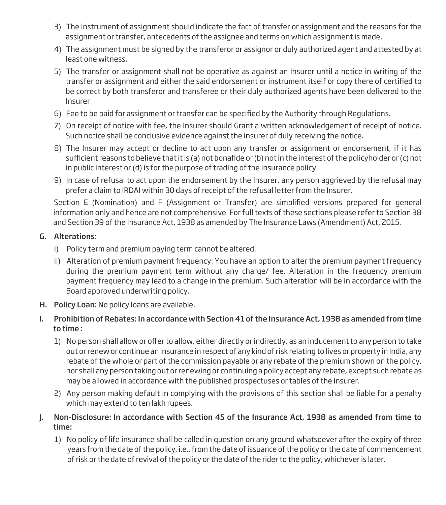- 3) The instrument of assignment should indicate the fact of transfer or assignment and the reasons for the assignment or transfer, antecedents of the assignee and terms on which assignment is made.
- 4) The assignment must be signed by the transferor or assignor or duly authorized agent and attested by at least one witness.
- 5) The transfer or assignment shall not be operative as against an Insurer until a notice in writing of the transfer or assignment and either the said endorsement or instrument itself or copy there of certified to be correct by both transferor and transferee or their duly authorized agents have been delivered to the Insurer.
- 6) Fee to be paid for assignment or transfer can be specified by the Authority through Regulations.
- 7) On receipt of notice with fee, the Insurer should Grant a written acknowledgement of receipt of notice. Such notice shall be conclusive evidence against the insurer of duly receiving the notice.
- 8) The Insurer may accept or decline to act upon any transfer or assignment or endorsement, if it has sufficient reasons to believe that it is (a) not bonafide or (b) not in the interest of the policyholder or (c) not in public interest or (d) is for the purpose of trading of the insurance policy.
- 9) In case of refusal to act upon the endorsement by the Insurer, any person aggrieved by the refusal may prefer a claim to IRDAI within 30 days of receipt of the refusal letter from the Insurer.

Section E (Nomination) and F (Assignment or Transfer) are simplified versions prepared for general information only and hence are not comprehensive. For full texts of these sections please refer to Section 38 and Section 39 of the Insurance Act, 1938 as amended by The Insurance Laws (Amendment) Act, 2015.

# G. Alterations:

- i) Policy term and premium paying term cannot be altered.
- ii) Alteration of premium payment frequency: You have an option to alter the premium payment frequency during the premium payment term without any charge/ fee. Alteration in the frequency premium payment frequency may lead to a change in the premium. Such alteration will be in accordance with the Board approved underwriting policy.
- H. Policy Loan: No policy loans are available.
- I. Prohibition of Rebates: In accordance with Section 41 of the Insurance Act, 1938 as amended from time to time :
	- 1) No person shall allow or offer to allow, either directly or indirectly, as an inducement to any person to take out or renew or continue an insurance in respect of any kind of risk relating to lives or property in India, any rebate of the whole or part of the commission payable or any rebate of the premium shown on the policy, nor shall any person taking out or renewing or continuing a policy accept any rebate, except such rebate as may be allowed in accordance with the published prospectuses or tables of the insurer.
	- 2) Any person making default in complying with the provisions of this section shall be liable for a penalty which may extend to ten lakh rupees.
- J. Non-Disclosure: In accordance with Section 45 of the Insurance Act, 1938 as amended from time to time:
	- 1) No policy of life insurance shall be called in question on any ground whatsoever after the expiry of three years from the date of the policy, i.e., from the date of issuance of the policy or the date of commencement of risk or the date of revival of the policy or the date of the rider to the policy, whichever is later.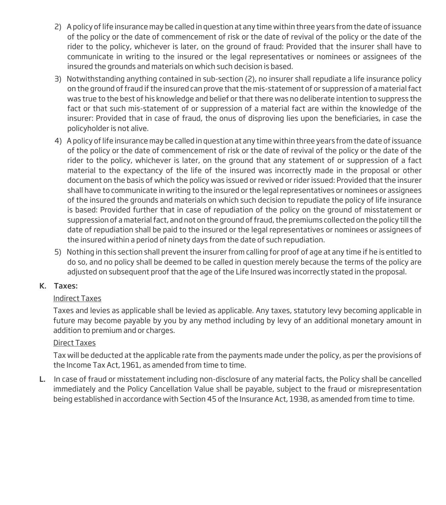- 2) A policy of life insurance may be called in question at any time within three years from the date of issuance of the policy or the date of commencement of risk or the date of revival of the policy or the date of the rider to the policy, whichever is later, on the ground of fraud: Provided that the insurer shall have to communicate in writing to the insured or the legal representatives or nominees or assignees of the insured the grounds and materials on which such decision is based.
- 3) Notwithstanding anything contained in sub-section (2), no insurer shall repudiate a life insurance policy on the ground of fraud if the insured can prove that the mis-statement of or suppression of a material fact was true to the best of his knowledge and belief or that there was no deliberate intention to suppress the fact or that such mis-statement of or suppression of a material fact are within the knowledge of the insurer: Provided that in case of fraud, the onus of disproving lies upon the beneficiaries, in case the policyholder is not alive.
- 4) A policy of life insurance may be called in question at any time within three years from the date of issuance of the policy or the date of commencement of risk or the date of revival of the policy or the date of the rider to the policy, whichever is later, on the ground that any statement of or suppression of a fact material to the expectancy of the life of the insured was incorrectly made in the proposal or other document on the basis of which the policy was issued or revived or rider issued: Provided that the insurer shall have to communicate in writing to the insured or the legal representatives or nominees or assignees of the insured the grounds and materials on which such decision to repudiate the policy of life insurance is based: Provided further that in case of repudiation of the policy on the ground of misstatement or suppression of a material fact, and not on the ground of fraud, the premiums collected on the policy till the date of repudiation shall be paid to the insured or the legal representatives or nominees or assignees of the insured within a period of ninety days from the date of such repudiation.
- 5) Nothing in this section shall prevent the insurer from calling for proof of age at any time if he is entitled to do so, and no policy shall be deemed to be called in question merely because the terms of the policy are adjusted on subsequent proof that the age of the Life Insured was incorrectly stated in the proposal.

# K. Taxes:

# Indirect Taxes

Taxes and levies as applicable shall be levied as applicable. Any taxes, statutory levy becoming applicable in future may become payable by you by any method including by levy of an additional monetary amount in addition to premium and or charges.

# Direct Taxes

Tax will be deducted at the applicable rate from the payments made under the policy, as per the provisions of the Income Tax Act, 1961, as amended from time to time.

L. In case of fraud or misstatement including non-disclosure of any material facts, the Policy shall be cancelled immediately and the Policy Cancellation Value shall be payable, subject to the fraud or misrepresentation being established in accordance with Section 45 of the Insurance Act, 1938, as amended from time to time.